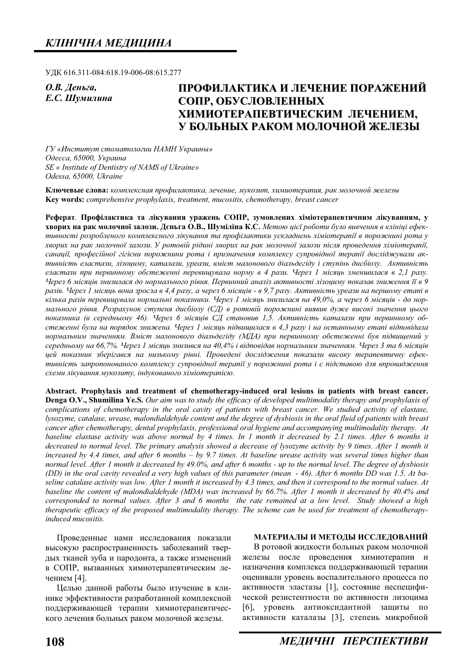ɍȾɄ 616.311-084:618.19-006-08:615.277

**О.В.** Деньга, *<i>E.C. Шумилина* 

# **ɉɊɈɎɂɅȺɄɌɂɄȺ ɂ Ʌȿɑȿɇɂȿ ɉɈɊȺɀȿɇɂɃ** СОПР. ОБУСЛОВЛЕННЫХ ХИМИОТЕРАПЕВТИЧЕСКИМ ЛЕЧЕНИЕМ, **ɍ ȻɈɅɖɇɕɏ ɊȺɄɈɆ ɆɈɅɈɑɇɈɃ ɀȿɅȿɁɕ**

ГУ «Институт стоматологии НАМН Украины»  $O$ десса, 65000, Украина *SE « Institute of Dentistry of NAMS of Ukraine» Odessa, 65000, Ukraine* 

Ключевые слова: комплексная профилактика, лечение, мукозит, химиотерапия, рак молочной железы **Key words:** *comprehensive prophylaxis, treatment, mucositis, chemotherapy, breast cancer* 

Реферат. Профілактика та лікування уражень СОПР, зумовлених хіміотерапевтичним лікуванням, у **хворих на рак молочної залози. Дєньга О.В., Шуміліна К.С.** Метою цієї роботи було вивчення в клініці ефективності розробленого комплексного лікування та профілактики ускладнень хіміотерапії в порожнині рота у хворих на рак молочної залози. У ротовій рідині хворих на рак молочної залози після проведення хіміотерапії, санації, професійної гігієни порожнини рота і призначення комплексу супровідної терапії досліджували активність еластази, лізоциму, каталази, уреази, вміст малонового діальдегіду і ступінь дисбіозу. Активність  $e$ ластази при первинному обстеженні перевищувала норму в 4 рази. Через 1 місяць зменшилася в 2,1 разу. Через 6 місяців знизилася до нормального рівня. Первинний аналіз активності лізоциму показав зниження її в 9 разів. Через 1 місяць вона зросла в 4,4 разу, а через 6 місяців - в 9,7 разу. Активність уреази на першому етапі в кілька разів перевищувала нормальні показники. Через 1 місяць знизилася на 49,0%, а через 6 місяців - до нормального рівня. Розрахунок ступеня дисбіозу (СД) в ротовій порожнині виявив дуже високі значення цього показника (в середньому 46). Через 6 місяців СД становив 1,5. Активність каталази при первинному обстеженні була на порядок знижена. Через 1 місяць підвишилася в 4,3 разу і на останньому етапі відповідала *ɧɨɪɦɚɥɶɧɢɦ ɡɧɚɱɟɧɧɹɦ. ȼɦɿɫɬ ɦɚɥɨɧɨɜɨɝɨ ɞɿɚɥɶɞɟɝɿɞɭ (ɆȾȺ) ɩɪɢ ɩɟɪɜɢɧɧɨɦɭ ɨɛɫɬɟɠɟɧɧɿ ɛɭɜ ɩɿɞɜɢɳɟɧɢɣ ɭ середньому на 66,7%. Через 1 місяць знизився на 40,4% і відповідав нормальним значенням. Через 3 та 6 місяців* **ией показник зберігався на низькому рівні. Проведені дослідження показали високу терапевтичну ефек**тивність запропонованого комплексу супровідної терапії у порожнині рота і є підставою для впровадження  $cx$ еми лікування мукозиту, індукованого хіміотерапією.

**Abstract. Prophylaxis and treatment of chemotherapy-induced oral lesions in patients with breast cancer. Denga O.V., Shumilina Ye.S.** *Our aim was to study the efficacy of developed multimodality therapy and prophylaxis of complications of chemotherapy in the oral cavity of patients with breast cancer. We studied activity of elastase, lysozyme, catalase, urease, malondialdehyde content and the degree of dysbiosis in the oral fluid of patients with breast cancer after chemotherapy, dental prophylaxis, professional oral hygiene and accompanying multimodality therapy. At baseline elastase activity was above normal by 4 times. In 1 month it decreased by 2.1 times. After 6 months it decreased to normal level. The primary analysis showed a decrease of lysozyme activity by 9 times. After 1 month it increased by 4.4 times, and after 6 months – by 9.7 times. At baseline urease activity was several times higher than normal level. After 1 month it decreased by 49.0%, and after 6 months - up to the normal level. The degree of dysbiosis (DD) in the oral cavity revealed a very high values of this parameter (mean - 46). After 6 months DD was 1.5. At baseline catalase activity was low. After 1 month it increased by 4.3 times, and then it correspond to the normal values. At baseline the content of malondialdehyde (MDA) was increased by 66.7%. After 1 month it decreased by 40.4% and corresponded to normal values. After 3 and 6 months the rate remained at a low level. Study showed a high therapeutic efficacy of the proposed multimodality therapy. The scheme can be used for treatment of chemotherapyinduced mucositis.* 

Проведенные нами исследования показали высокую распространенность заболеваний твердых тканей зуба и пародонта, а также изменений в СОПР, вызванных химиотерапевтическим лечением [4].

Целью данной работы было изучение в клинике эффективности разработанной комплексной поддерживающей терапии химиотерапевтического лечения больных раком молочной железы.

#### МАТЕРИАЛЫ И МЕТОДЫ ИССЛЕДОВАНИЙ

В ротовой жидкости больных раком молочной железы после проведения химиотерапии и назначения комплекса поддерживающей терапии оценивали уровень воспалительного процесса по активности эластазы [1], состояние неспецифической резистентности по активности лизоцима [6], уровень антиоксидантной защиты по активности каталазы [3], степень микробной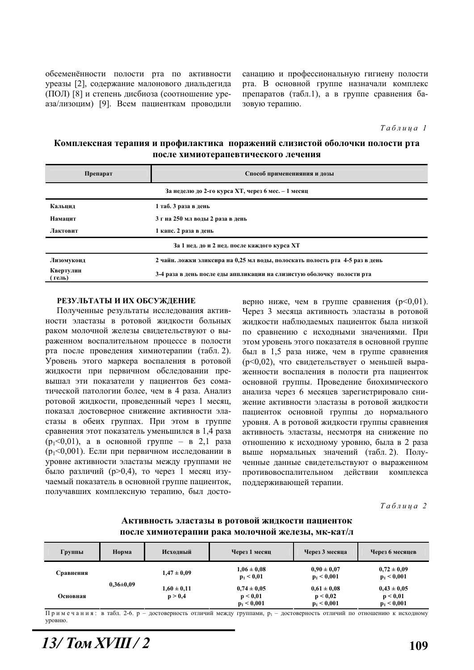обсеменённости полости рта по активности уреазы [2], содержание малонового диальдегида (ПОЛ) [8] и степень дисбиоза (соотношение уреаза/лизоцим) [9]. Всем пациенткам проводили санацию и профессиональную гигиену полости рта. В основной группе назначали комплекс препаратов (табл.1), а в группе сравнения базовую терапию.

 $Ta6\n<sub>n</sub>\n<sub>u</sub>\n<sub>a</sub> 1$ 

### Комплексная терапия и профилактика поражений слизистой оболочки полости рта после химиотерапевтического лечения

| Препарат                                           | Способ примененияния и дозы                                                  |  |  |  |  |
|----------------------------------------------------|------------------------------------------------------------------------------|--|--|--|--|
| За неделю до 2-го курса XT, через 6 мес. - 1 месяц |                                                                              |  |  |  |  |
| Кальнил                                            | 1 таб. 3 раза в день                                                         |  |  |  |  |
| 3 г на 250 мл воды 2 раза в день<br>Намацит        |                                                                              |  |  |  |  |
| Лактовит                                           | 1 капс. 2 раза в день                                                        |  |  |  |  |
|                                                    | За 1 нед. до и 2 нед. после каждого курса XT                                 |  |  |  |  |
| Лизомукоид                                         | 2 чайн. ложки эликсира на 0,25 мл воды, полоскать полость рта 4-5 раз в день |  |  |  |  |
| Квертулин<br>(гель)                                | 3-4 раза в день после еды аппликации на слизистую оболочку полости рта       |  |  |  |  |

#### РЕЗУЛЬТАТЫ И ИХ ОБСУЖДЕНИЕ

Полученные результаты исследования активности эластазы в ротовой жидкости больных раком молочной железы свидетельствуют о выраженном воспалительном процессе в полости рта после проведения химиотерапии (табл. 2). Уровень этого маркера воспаления в ротовой жидкости при первичном обследовании превышал эти показатели у пациентов без соматической патологии более, чем в 4 раза. Анализ ротовой жидкости, проведенный через 1 месяц, показал достоверное снижение активности эластазы в обеих группах. При этом в группе сравнения этот показатель уменьшился в 1,4 раза  $(p_1 < 0.01)$ , а в основной группе – в 2,1 раза ( $p_1$ <0,001). Если при первичном исследовании в уровне активности эластазы между группами не было различий ( $p > 0, 4$ ), то через 1 месяц изучаемый показатель в основной группе пациенток, получавших комплексную терапию, был достоверно ниже, чем в группе сравнения  $(p<0,01)$ . Через 3 месяца активность эластазы в ротовой жидкости наблюдаемых пациенток была низкой по сравнению с исходными значениями. При этом уровень этого показателя в основной группе был в 1,5 раза ниже, чем в группе сравнения ( $p<0.02$ ), что свидетельствует о меньшей выраженности воспаления в полости рта пациенток основной группы. Проведение биохимического анализа через 6 месяцев зарегистрировало снижение активности эластазы в ротовой жидкости пациенток основной группы до нормального уровня. А в ротовой жидкости группы сравнения активность эластазы, несмотря на снижение по отношению к исходному уровню, была в 2 раза выше нормальных значений (табл. 2). Полученные данные свидетельствуют о выраженном противовоспалительном действии комплекса поддерживающей терапии.

 $Ta6$ лииа 2

| Группы    | Норма           | Исходный                   | Через 1 месяц                                | Через 3 месяца                               | Через 6 месяцев                              |
|-----------|-----------------|----------------------------|----------------------------------------------|----------------------------------------------|----------------------------------------------|
| Сравнения | $0.36 \pm 0.09$ | $1,47 \pm 0,09$            | $1,06 \pm 0,08$<br>$p_1 < 0.01$              | $0.90 \pm 0.07$<br>$p_1 < 0,001$             | $0.72 \pm 0.09$<br>$p_1 < 0,001$             |
| Основная  |                 | $1,60 \pm 0,11$<br>p > 0,4 | $0.74 \pm 0.05$<br>p < 0.01<br>$p_1 < 0,001$ | $0.61 \pm 0.08$<br>p < 0.02<br>$p_1 < 0,001$ | $0.43 \pm 0.05$<br>p < 0.01<br>$p_1 < 0,001$ |

### Активность эластазы в ротовой жидкости пациенток после химиотерапии рака молочной железы, мк-кат/л

Примечания: в табл. 2-6. р – достоверность отличий между группами, р<sub>1</sub> – достоверность отличий по отношению к исходному VDOBHIO.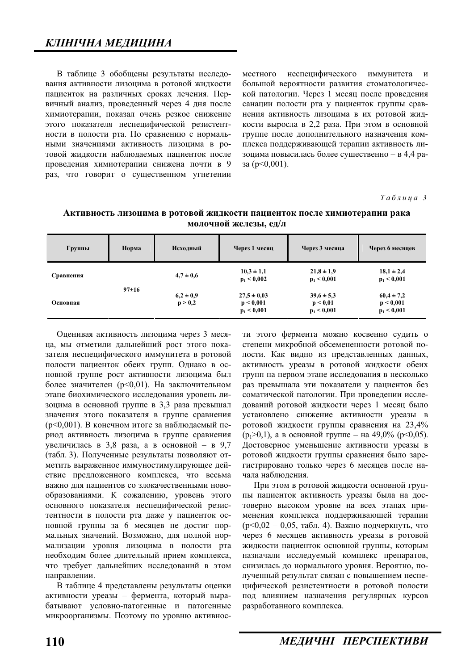В таблице 3 обобщены результаты исследования активности лизоцима в ротовой жидкости пациенток на различных сроках лечения. Первичный анализ, проведенный через 4 дня после химиотерапии, показал очень резкое снижение этого показателя неспецифической резистентности в полости рта. По сравнению с нормальными значениями активность лизоцима в ротовой жидкости наблюдаемых пациенток после проведения химиотерапии снижена почти в 9 раз, что говорит о существенном угнетении

местного неспецифического иммунитета и большой вероятности развития стоматологической патологии. Через 1 месяц после проведения санации полости рта у пациенток группы сравнения активность лизоцима в их ротовой жидкости выросла в 2,2 раза. При этом в основной группе после дополнительного назначения комплекса поллерживающей терапии активность лизоцима повысилась более существенно – в 4,4 ра- $3a (p < 0.001)$ .

 $Ta6$ лица 3

| Группы    | Норма       | Исходный                 | Через 1 месяц                                 | Через 3 месяца                              | Через 6 месяцев                              |
|-----------|-------------|--------------------------|-----------------------------------------------|---------------------------------------------|----------------------------------------------|
| Сравнения | $97 \pm 16$ | $4.7 \pm 0.6$            | $10,3 \pm 1,1$<br>$p_1 < 0.002$               | $21,8 \pm 1,9$<br>$p_1 < 0,001$             | $18,1 \pm 2,4$<br>$p_1 < 0,001$              |
| Основная  |             | $6,2 \pm 0,9$<br>p > 0,2 | $27.5 \pm 0.03$<br>p < 0,001<br>$p_1 < 0,001$ | $39.6 \pm 5.3$<br>p < 0.01<br>$p_1 < 0,001$ | $60,4 \pm 7,2$<br>p < 0,001<br>$p_1 < 0,001$ |

Активность лизоцима в ротовой жидкости пациенток после химиотерапии рака  $MO$ **JIOЧНОЙ** ЖЕЛЕЗЫ,  $e$ Д/Л

Оценивая активность лизоцима через 3 месяца, мы отметили дальнейший рост этого показателя неспецифического иммунитета в ротовой полости пациенток обеих групп. Однако в основной группе рост активности лизоцима был более значителен ( $p<0,01$ ). На заключительном этапе биохимического исследования уровень лизоцима в основной группе в 3,3 раза превышал значения этого показателя в группе сравнения ( $p<0,001$ ). В конечном итоге за наблюдаемый период активность лизоцима в группе сравнения увеличилась в 3,8 раза, а в основной – в 9,7 (табл. 3). Полученные результаты позволяют отметить выраженное иммуностимулирующее действие предложенного комплекса, что весьма важно лля пациентов со злокачественными новообразованиями. К сожалению, уровень этого основного показателя неспецифической резистентности в полости рта даже у пациенток основной группы за 6 месяцев не достиг нормальных значений. Возможно, для полной нормализации уровня лизоцима в полости рта необходим более длительный прием комплекса, что требует дальнейших исследований в этом направлении.

В таблице 4 представлены результаты оценки активности уреазы – фермента, который вырабатывают условно-патогенные и патогенные микроорганизмы. Поэтому по уровню активности этого фермента можно косвенно судить о степени микробной обсемененности ротовой полости. Как видно из представленных данных, активность уреазы в ротовой жидкости обеих групп на первом этапе исследования в несколько раз превышала эти показатели у пациентов без соматической патологии. При проведении исследований ротовой жидкости через 1 месяц было установлено снижение активности уреазы в ротовой жидкости группы сравнения на 23,4%  $(p_1>0,1)$ , а в основной группе – на 49,0% ( $p<0,05$ ). Достоверное уменьшение активности уреазы в ротовой жидкости группы сравнения было зарегистрировано только через 6 месяцев после начала наблюдения.

При этом в ротовой жидкости основной группы пациенток активность уреазы была на достоверно высоком уровне на всех этапах применения комплекса поддерживающей терапии  $(p<0,02 - 0,05, \text{ табл. } 4)$ . Важно подчеркнуть, что через 6 месяцев активность уреазы в ротовой жидкости пациенток основной группы, которым назначали исследуемый комплекс препаратов, снизилась до нормального уровня. Вероятно, полученный результат связан с повышением неспецифической резистентности в ротовой полости под влиянием назначения регулярных курсов разработанного комплекса.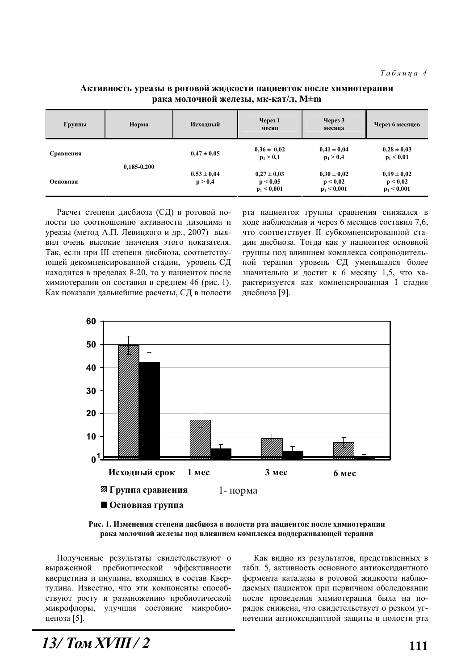| Группы    | Норма         | Исходный                   | Через $1$<br>месяц                           | $\gamma$ Через 3<br>месяца                   | Через 6 месяцев                              |
|-----------|---------------|----------------------------|----------------------------------------------|----------------------------------------------|----------------------------------------------|
| Сравнения | $0,185-0,200$ | $0,47 \pm 0,05$            | $0,36 \pm 0,02$<br>$p_1 > 0,1$               | $0,41 \pm 0,04$<br>$p_1 > 0,4$               | $0.28 \pm 0.03$<br>$p_1 < 0.01$              |
| Основная  |               | $0,53 \pm 0,04$<br>p > 0,4 | $0.27 \pm 0.03$<br>p < 0.05<br>$p_1 < 0,001$ | $0.30 \pm 0.02$<br>p < 0.02<br>$p_1 < 0,001$ | $0.19 \pm 0.02$<br>p < 0.02<br>$p_1 < 0,001$ |

#### Активность уреазы в ротовой жидкости пациенток после химиотерапии рака молочной железы, мк-кат/л, М±m

Расчет степени дисбиоза (СД) в ротовой полости по соотношению активности лизоцима и уреазы (метод А.П. Левицкого и др., 2007) выявил очень высокие значения этого показателя. Так, если при III степени дисбиоза, соответствующей декомпенсированной стадии, уровень СД находится в пределах 8-20, то у пациенток после химиотерапии он составил в среднем 46 (рис. 1). Как показали дальнейшие расчеты, СД в полости рта пациенток группы сравнения снижался в ходе наблюдения и через 6 месяцев составил 7,6, что соответствует II субкомпенсированной стадии дисбиоза. Тогда как у пациенток основной группы под влиянием комплекса сопроводительной терапии уровень СД уменьшался более значительно и достиг к 6 месяцу 1,5, что характеризуется как компенсированная I стадия дисбиоза [9].



Рис. 1. Изменения степени дисбиоза в полости рта пациенток после химиотерапии рака молочной железы под влиянием комплекса поддерживающей терапии

Полученные результаты свидетельствуют о выраженной пребиотической эффективности кверцетина и инулина, входящих в состав Квертулина. Известно, что эти компоненты способствуют росту и размножению пробиотической микрофлоры, улучшая состояние микробиоценоза [5].

Как видно из результатов, представленных в табл. 5, активность основного антиоксидантного фермента каталазы в ротовой жидкости наблюдаемых пациенток при первичном обследовании после проведения химиотерапии была на порядок снижена, что свидетельствует о резком угнетении антиоксидантной защиты в полости рта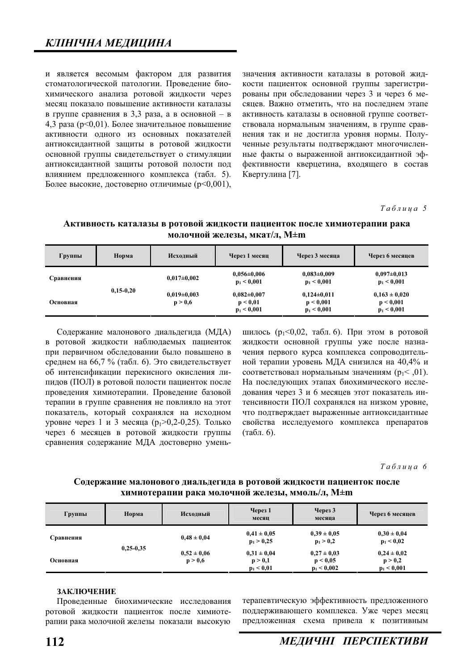и является весомым фактором для развития стоматологической патологии. Проведение биохимического анализа ротовой жидкости через месяц показало повышение активности каталазы в группе сравнения в 3,3 раза, а в основной – в 4,3 раза ( $p<0,01$ ). Более значительное повышение активности одного из основных показателей антиоксилантной зашиты в ротовой жилкости основной группы свидетельствует о стимуляции антиоксидантной защиты ротовой полости под влиянием предложенного комплекса (табл. 5). Более высокие, достоверно отличимые (p<0,001),

значения активности каталазы в ротовой жидкости пациенток основной группы зарегистрированы при обследовании через 3 и через 6 месяцев. Важно отметить, что на последнем этапе активность каталазы в основной группе соответствовала нормальным значениям, в группе сравнения так и не достигла уровня нормы. Полученные результаты подтверждают многочисленные факты о выраженной антиоксидантной эффективности кверцетина, входящего в состав Квертулина [7].

 $Ta6\nmu u a 5$ 

| Группы    | Норма       | Исходный                     | Через 1 месяц                                  | Через 3 месяца                                | Через 6 месяцев                                 |
|-----------|-------------|------------------------------|------------------------------------------------|-----------------------------------------------|-------------------------------------------------|
| Сравнения | $0,15-0,20$ | $0.017 \pm 0.002$            | $0.056 \pm 0.006$<br>$p_1 < 0,001$             | $0.083 \pm 0.009$<br>$p_1 < 0,001$            | $0,097 \pm 0,013$<br>$p_1 < 0,001$              |
| Основная  |             | $0.019 \pm 0.003$<br>p > 0,6 | $0.082 \pm 0.007$<br>p < 0.01<br>$p_1 < 0,001$ | $0,124\pm0,011$<br>p < 0,001<br>$p_1 < 0,001$ | $0,163 \pm 0,020$<br>p < 0.001<br>$p_1 < 0,001$ |

Активность каталазы в ротовой жидкости пациенток после химиотерапии рака  $MOJO$ ЧНОЙ ЖЕЛЕЗЫ, МКАТ/Л,  $M \pm m$ 

Содержание малонового диальдегида (МДА) в ротовой жидкости наблюдаемых пациенток при первичном обследовании было повышено в среднем на 66,7 % (табл. 6). Это свидетельствует об интенсификации перекисного окисления липидов (ПОЛ) в ротовой полости пациенток после проведения химиотерапии. Проведение базовой терапии в группе сравнения не повлияло на этот показатель, который сохранялся на исходном уровне через 1 и 3 месяца ( $p_1 > 0.2-0.25$ ). Только через 6 месяцев в ротовой жидкости группы сравнения содержание МДА достоверно уменьшилось ( $p_1$ <0,02, табл. 6). При этом в ротовой жидкости основной группы уже после назначения первого курса комплекса сопроводительной терапии уровень МЛА снизился на 40.4% и соответствовал нормальным значениям ( $p_1$ < .01). На последующих этапах биохимического исследования через 3 и 6 месяцев этот показатель интенсивности ПОЛ сохранялся на низком уровне, что подтверждает выраженные антиоксидантные свойства исследуемого комплекса препаратов  $(\text{табл. } 6)$ .

 $Ta6$ лина 6

Содержание малонового диальдегида в ротовой жидкости пациенток после **химиотерапии рака молочной железы, ммоль/л, M±m** 

| Группы    | Норма       | Исходный                   | Через 1<br>месяц                           | $\gamma$ Hepes 3<br>месяца                   | Через 6 месяцев                             |
|-----------|-------------|----------------------------|--------------------------------------------|----------------------------------------------|---------------------------------------------|
| Сравнения | $0,25-0,35$ | $0.48 \pm 0.04$            | $0.41 \pm 0.05$<br>$p_1 > 0,25$            | $0.39 \pm 0.05$<br>$p_1 > 0,2$               | $0.30 \pm 0.04$<br>$p_1 < 0.02$             |
| Основная  |             | $0,52 \pm 0,06$<br>p > 0,6 | $0.31 \pm 0.04$<br>p > 0,1<br>$p_1 < 0.01$ | $0.27 \pm 0.03$<br>p < 0.05<br>$p_1 < 0,002$ | $0.24 \pm 0.02$<br>p > 0,2<br>$p_1 < 0,001$ |

#### ЗАКЛЮЧЕНИЕ

Проведенные биохимические исследования ротовой жидкости пациенток после химиотерапии рака молочной железы показали высокую

терапевтическую эффективность предложенного поддерживающего комплекса. Уже через месяц предложенная схема привела к позитивным